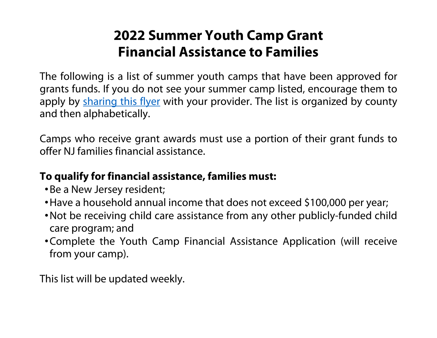## **2022 Summer Youth Camp Grant Financial Assistance to Families**

The following is a list of summer youth camps that have been approved for grants funds. If you do not see your summer camp listed, encourage them to apply by sharing this flyer with your provider. The list is organized by county and then alphabetically.

Camps who receive grant awards must use a portion of their grant funds to offer NJ families financial assistance.

## **To qualify for financial assistance, families must:**

- Be a New Jersey resident;
- Have a household annual income that does not exceed \$100,000 per year;
- Not be receiving child care assistance from any other publicly-funded child care program; and
- Complete the Youth Camp Financial Assistance Application (will receive from your camp).

This list will be updated weekly.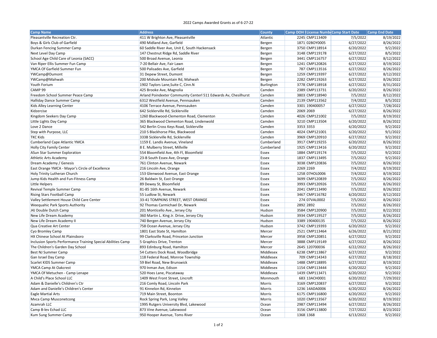## 2022 Camps Awarded Grants as of 6‐27‐22

| <b>Camp Name</b>                                             | <b>Address</b>                                                  | <b>County</b> |                | Camp DOH License NumbeCamp Start Date | Camp End Date |
|--------------------------------------------------------------|-----------------------------------------------------------------|---------------|----------------|---------------------------------------|---------------|
| Pleasantville Recreation Ctr.                                | 411 W Brighton Ave, Pleasantville                               | Atlantic      | 2245 CMP113409 | 7/5/2022                              | 8/19/2022     |
| Boys & Girls Club of Garfield                                | 490 Midland Ave, Garfield                                       | Bergen        | 1871 02BOY0005 | 6/27/2022                             | 8/26/2022     |
| Durkan Fencing Summer Camp                                   | 60 Saddle River Ave, Unit E, South Hackensack                   | Bergen        | 3750 CMP118914 | 6/20/2022                             | 9/2/2022      |
| Next Level Day Camp                                          | 147 Chestnut Ridge Rd, Saddle River                             | Bergen        | 3148 CMP119178 | 6/27/2022                             | 8/5/2022      |
| School Age Child Care of Leonia (SACC)                       | 500 Broad Avenue, Leonia                                        | Bergen        | 3441 CMP116757 | 6/27/2022                             | 8/12/2022     |
| Van Riper Ellis Summer Fun Camp                              | 7-20 Bellair Ave, Fair Lawn                                     | Bergen        | 1241 CMP120826 | 6/27/2022                             | 8/19/2022     |
| YMCA Of Garfield Summer Fun                                  | 500 Palisades Ave, Garfield                                     | Bergen        | 787 CMP113516  | 6/27/2022                             | 8/26/2022     |
| YWCamp@Dumont                                                | 31 Depew Street, Dumont                                         | Bergen        | 1259 CMP119397 | 6/27/2022                             | 8/12/2022     |
| YWCamp@Mahwah                                                | 200 Midvale Mountain Rd, Mahwah                                 | Bergen        | 2282 CMP119263 | 6/27/2022                             | 8/26/2022     |
| Youth Forium                                                 | 1902 Taylors Lane, Suite C, Cinn.N                              | Burlington    | 3778 CMP118918 | 6/27/2022                             | 8/31/2022     |
| CAMP 99                                                      | 425 Brooke Ave, Magnolia                                        | Camden        | 2389 CMP113731 | 6/20/2022                             | 8/26/2022     |
| Freedom School Summer Peace Camp                             | Arland Poindexter Community Centerl 511 Edwards Av, Chesilhurst | Camden        | 3803 CMP118940 | 7/5/2022                              | 8/12/2022     |
| Halliday Dance Summer Camp                                   | 6312 Westfield Avenue, Pennsauken                               | Camden        | 2139 CMP113562 | 7/4/2022                              | 8/5/2022      |
| Kids Alley Learning Center                                   | 4106 Terrace Avenue, Pennsauken                                 | Camden        | 3301 190400057 | 6/27/2022                             | 7/28/2022     |
| Kidzercise                                                   | 642 Sicklerville Rd, Sicklerville                               | Camden        | 2069 2069      | 6/27/2022                             | 8/26/2022     |
| Kingdom Seekers Day Camp                                     | 1260 Blackwood-Clementon Road, Clementon                        | Camden        | 4026 CMP121002 | 7/5/2022                              | 8/19/2022     |
| Little Lights Day Camp                                       | 365 Blackwood Clementon Road, Lindenwold                        | Camden        | 3210 CMP113504 | 6/20/2022                             | 8/26/2022     |
| Love 2 Dance                                                 | 542 Berlin Cross Keys Road, Sicklerville                        | Camden        | 3353 3353      | 6/20/2022                             | 9/2/2022      |
| Step with Purpose, LLC                                       | 210 S Blackhorse Pike, Blackwood                                | Camden        | 4024 CMP121001 | 6/20/2022                             | 9/1/2022      |
| <b>TKC Kids</b>                                              | 333B Sicklerville Rd, Sicklerville                              | Camden        | 3969 CMP120910 | 6/27/2022                             | 9/2/2022      |
| <b>Cumberland Cape Atlantic YMCA</b>                         | 1159 E. Landis Avenue, Vineland                                 | Cumberland    | 3917 CMP119255 | 6/20/2022                             | 8/26/2022     |
| <b>Holly City Family Center</b>                              | 8 E. Mulberry Street, Millville                                 | Cumberland    | 1925 CMP113416 | 6/20/2022                             | 9/2/2022      |
| ASun Star Summer Exploration                                 | 554 Bloomfield Ave, 4th Fl, Bloomfield                          | <b>Essex</b>  | 1884 CMP119174 | 7/5/2022                              | 9/2/2022      |
| <b>Athletic Arts Academy</b>                                 | 23-B South Essex Ave, Orange                                    | <b>Essex</b>  | 1837 CMP113495 | 7/5/2022                              | 9/2/2022      |
| Dream Academy / Genesis                                      | 761 Clinton Avenue, Newark                                      | <b>Essex</b>  | 3038 CMP120836 | 7/5/2022                              | 8/26/2022     |
| East Orange YMCA - Mayor's Circle of Excellence              | 216 Lincoln Ave, Orange                                         | <b>Essex</b>  | 2269 2269      | 7/4/2022                              | 8/19/2022     |
| Holy Trinity Lutheran Church                                 | 153 Glenwood Avenue, East Orange                                | <b>Essex</b>  | 1258 07HOL0006 | 7/4/2022                              | 8/19/2022     |
| Jump Kids Health and Fun-Fitness Camp                        | 26 Baldwin St, East Orange                                      | <b>Essex</b>  | 3699 CMP120839 | 7/5/2022                              | 8/26/2022     |
| Little Helpers                                               | 89 Dewey St, Bloomfield                                         | <b>Essex</b>  | 3993 CMP120926 | 7/5/2022                              | 8/26/2022     |
| Revival Temple Summer Camp                                   | 81-85 16th Avenue, Newark                                       | <b>Essex</b>  | 2041 CMP113490 | 7/5/2022                              | 8/26/2022     |
| Rising Stars Football Camp                                   | 55 Ludlow St, Newark                                            | <b>Essex</b>  | 3467 CMP116782 | 6/20/2022                             | 8/12/2022     |
| Valley Settlement House Child Care Center                    | 33-41 TOMPKINS STREET, WEST ORANGE                              | <b>Essex</b>  | 274 07VAL0002  | 7/5/2022                              | 8/26/2022     |
| Weequahic Park Sports Authority                              | 92 Thomas Carmichael Dr, Newark                                 | <b>Essex</b>  | 2892 2892      | 7/5/2022                              | 8/26/2022     |
| J4J Double Dutch Camp                                        | 201 Monticello Ave., Jersey City                                | Hudson        | 3584 CMP120900 | 7/5/2022                              | 8/22/2022     |
| New Life Dream Academy                                       | 360 Martin L. King Jr. Drive, Jersey City                       | Hudson        | 3934 CMP119527 | 7/5/2022                              | 8/26/2022     |
| New Life Dream Academy II                                    | 740 Bergen Avenue, Jersey City                                  | Hudson        | 3389 190400135 | 7/5/2022                              | 8/26/2022     |
| Qua Creative Art Center                                      | 758 Ocean Avenue, Jersey City                                   | Hudson        | 3742 CMP119393 | 6/20/2022                             | 9/2/2022      |
| Cyo Bromley Camp                                             | 1801 East State St, Hamilton                                    | Mercer        | 2521 CMP113464 | 6/26/2022                             | 8/21/2022     |
| HX Chinese School At Plainsboro                              | 99 Clarksville Road, Princeton Junction                         | Mercer        | 3958 CMP120851 | 6/27/2022                             | 9/2/2022      |
| Inclusion Sports Performance Training Special Abilities Camp | 5 Graphics Drive, Trenton                                       | Mercer        | 3888 CMP119149 | 6/27/2022                             | 8/26/2022     |
| The Children's Garden Day School                             | 893 Edinburg Road, Hamilton                                     | Mercer        | 2645 120700036 | 6/22/2022                             | 8/26/2022     |
| <b>Best NJ Summer Camp</b>                                   | 54 Cutters Dock Road, Woodbridge                                | Middlesex     | 6238 CMP113867 | 6/27/2022                             | 9/2/2022      |
| Gan Israel Day Camp                                          | 118 Federal Road, Monroe Township                               | Middlesex     | 709 CMP114343  | 6/27/2022                             | 8/18/2022     |
| Scarlet KIDS Summer Camp                                     | 59 Biel Road, New Brunswick                                     | Middlesex     | 1488 CMP118895 | 6/27/2022                             | 8/19/2022     |
| YMCA Camp At Oakcrest                                        | 970 Inman Ave, Edison                                           | Middlesex     | 1154 CMP113444 | 6/20/2022                             | 9/2/2022      |
| YMCA Of Metuchen - Camp Lenape                               | 520 Hoes Lane, Piscataway                                       | Middlesex     | 1439 CMP113471 | 6/20/2022                             | 9/2/2022      |
| A Child's Place School LLC                                   | 1409 West Front Street, Lincroft                                | Monmouth      | 683 13ACH0001  | 6/20/2022                             | 7/29/2022     |
| Adam & Danielle's Children's Ctr                             | 216 Comly Road, Lincoln Park                                    | <b>Morris</b> | 3169 CMP120837 | 6/27/2022                             | 9/2/2022      |
| Adam and Danielle's Children's Center                        | 91 Kinnelon Rd, Kinnelon                                        | Morris        | 1236 14ADA0006 | 6/20/2022                             | 8/26/2022     |
| <b>Eagle Martial Arts</b>                                    | 719 Main Street, Boonton                                        | <b>Morris</b> | 6175 CMP116800 | 6/20/2022                             | 9/2/2022      |
| Mvca Camp Musconetcong                                       | Rock Spring Park, Long Valley                                   | Morris        | 1020 CMP113567 | 6/20/2022                             | 8/19/2022     |
| Azamrah LLC                                                  | 1995 Rutgers University Blvd, Lakewood                          | Ocean         | 2987 CMP113494 | 6/27/2022                             | 8/26/2022     |
| Camp B-lev Echad LLC                                         | 873 Vine Avenue, Lakewood                                       | Ocean         | 3156 CMP113800 | 7/27/2022                             | 8/23/2022     |
| Kum Sung Summer Camp                                         | 950 Hooper Avenue, Toms River                                   | Ocean         | 1368 1368      | 6/13/2022                             | 9/2/2022      |